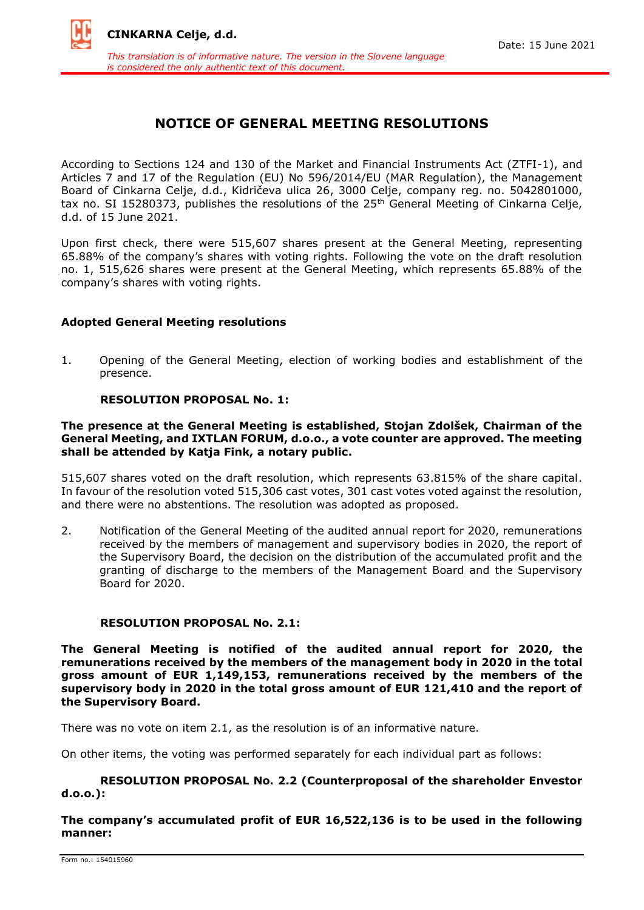

# **NOTICE OF GENERAL MEETING RESOLUTIONS**

According to Sections 124 and 130 of the Market and Financial Instruments Act (ZTFI-1), and Articles 7 and 17 of the Regulation (EU) No 596/2014/EU (MAR Regulation), the Management Board of Cinkarna Celje, d.d., Kidričeva ulica 26, 3000 Celje, company reg. no. 5042801000, tax no. SI 15280373, publishes the resolutions of the 25<sup>th</sup> General Meeting of Cinkarna Celje, d.d. of 15 June 2021.

Upon first check, there were 515,607 shares present at the General Meeting, representing 65.88% of the company's shares with voting rights. Following the vote on the draft resolution no. 1, 515,626 shares were present at the General Meeting, which represents 65.88% of the company's shares with voting rights.

# **Adopted General Meeting resolutions**

1. Opening of the General Meeting, election of working bodies and establishment of the presence.

# **RESOLUTION PROPOSAL No. 1:**

# **The presence at the General Meeting is established, Stojan Zdolšek, Chairman of the General Meeting, and IXTLAN FORUM, d.o.o., a vote counter are approved. The meeting shall be attended by Katja Fink, a notary public.**

515,607 shares voted on the draft resolution, which represents 63.815% of the share capital. In favour of the resolution voted 515,306 cast votes, 301 cast votes voted against the resolution, and there were no abstentions. The resolution was adopted as proposed.

2. Notification of the General Meeting of the audited annual report for 2020, remunerations received by the members of management and supervisory bodies in 2020, the report of the Supervisory Board, the decision on the distribution of the accumulated profit and the granting of discharge to the members of the Management Board and the Supervisory Board for 2020.

# **RESOLUTION PROPOSAL No. 2.1:**

**The General Meeting is notified of the audited annual report for 2020, the remunerations received by the members of the management body in 2020 in the total gross amount of EUR 1,149,153, remunerations received by the members of the supervisory body in 2020 in the total gross amount of EUR 121,410 and the report of the Supervisory Board.**

There was no vote on item 2.1, as the resolution is of an informative nature.

On other items, the voting was performed separately for each individual part as follows:

# **RESOLUTION PROPOSAL No. 2.2 (Counterproposal of the shareholder Envestor d.o.o.):**

**The company's accumulated profit of EUR 16,522,136 is to be used in the following manner:**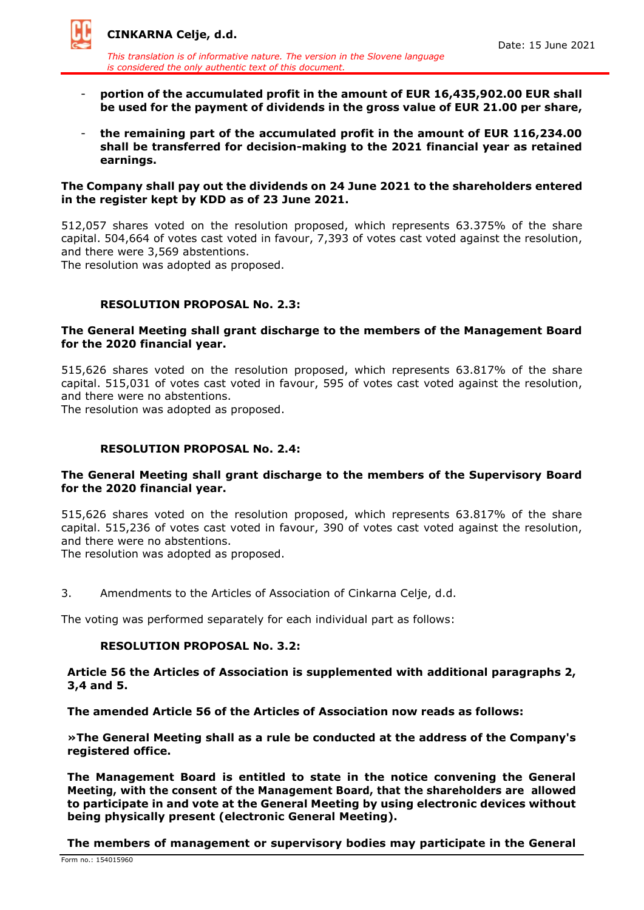

*This translation is of informative nature. The version in the Slovene language is considered the only authentic text of this document.*

- **portion of the accumulated profit in the amount of EUR 16,435,902.00 EUR shall be used for the payment of dividends in the gross value of EUR 21.00 per share,**
- **the remaining part of the accumulated profit in the amount of EUR 116,234.00 shall be transferred for decision-making to the 2021 financial year as retained earnings.**

## **The Company shall pay out the dividends on 24 June 2021 to the shareholders entered in the register kept by KDD as of 23 June 2021.**

512,057 shares voted on the resolution proposed, which represents 63.375% of the share capital. 504,664 of votes cast voted in favour, 7,393 of votes cast voted against the resolution, and there were 3,569 abstentions.

The resolution was adopted as proposed.

# **RESOLUTION PROPOSAL No. 2.3:**

# **The General Meeting shall grant discharge to the members of the Management Board for the 2020 financial year.**

515,626 shares voted on the resolution proposed, which represents 63.817% of the share capital. 515,031 of votes cast voted in favour, 595 of votes cast voted against the resolution, and there were no abstentions.

The resolution was adopted as proposed.

# **RESOLUTION PROPOSAL No. 2.4:**

# **The General Meeting shall grant discharge to the members of the Supervisory Board for the 2020 financial year.**

515,626 shares voted on the resolution proposed, which represents 63.817% of the share capital. 515,236 of votes cast voted in favour, 390 of votes cast voted against the resolution, and there were no abstentions.

The resolution was adopted as proposed.

3. Amendments to the Articles of Association of Cinkarna Celje, d.d.

The voting was performed separately for each individual part as follows:

# **RESOLUTION PROPOSAL No. 3.2:**

# **Article 56 the Articles of Association is supplemented with additional paragraphs 2, 3,4 and 5.**

# **The amended Article 56 of the Articles of Association now reads as follows:**

**»The General Meeting shall as a rule be conducted at the address of the Company's registered office.**

**The Management Board is entitled to state in the notice convening the General Meeting, with the consent of the Management Board, that the shareholders are allowed to participate in and vote at the General Meeting by using electronic devices without being physically present (electronic General Meeting).**

**The members of management or supervisory bodies may participate in the General**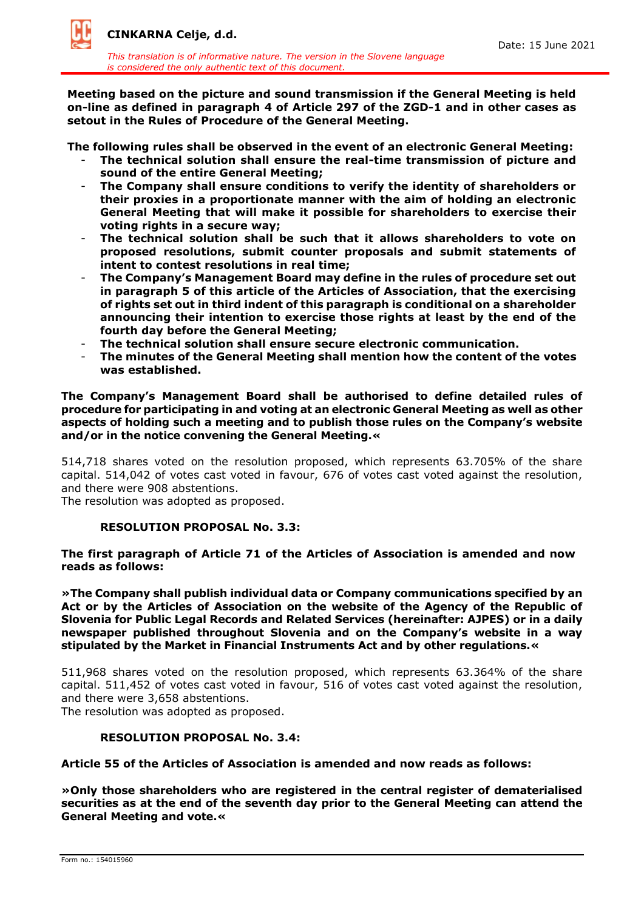

*This translation is of informative nature. The version in the Slovene language is considered the only authentic text of this document.*

**Meeting based on the picture and sound transmission if the General Meeting is held on-line as defined in paragraph 4 of Article 297 of the ZGD-1 and in other cases as setout in the Rules of Procedure of the General Meeting.**

**The following rules shall be observed in the event of an electronic General Meeting:**

- The technical solution shall ensure the real-time transmission of picture and **sound of the entire General Meeting;**
- **The Company shall ensure conditions to verify the identity of shareholders or their proxies in a proportionate manner with the aim of holding an electronic General Meeting that will make it possible for shareholders to exercise their voting rights in a secure way;**
- **The technical solution shall be such that it allows shareholders to vote on proposed resolutions, submit counter proposals and submit statements of intent to contest resolutions in real time;**
- **The Company's Management Board may define in the rules of procedure set out in paragraph 5 of this article of the Articles of Association, that the exercising of rights set out in third indent of this paragraph is conditional on a shareholder announcing their intention to exercise those rights at least by the end of the fourth day before the General Meeting;**
- **The technical solution shall ensure secure electronic communication.**
- **The minutes of the General Meeting shall mention how the content of the votes was established.**

**The Company's Management Board shall be authorised to define detailed rules of procedure for participating in and voting at an electronic General Meeting as well as other aspects of holding such a meeting and to publish those rules on the Company's website and/or in the notice convening the General Meeting.«**

514,718 shares voted on the resolution proposed, which represents 63.705% of the share capital. 514,042 of votes cast voted in favour, 676 of votes cast voted against the resolution, and there were 908 abstentions.

The resolution was adopted as proposed.

### **RESOLUTION PROPOSAL No. 3.3:**

**The first paragraph of Article 71 of the Articles of Association is amended and now reads as follows:**

**»The Company shall publish individual data or Company communications specified by an Act or by the Articles of Association on the website of the Agency of the Republic of Slovenia for Public Legal Records and Related Services (hereinafter: AJPES) or in a daily newspaper published throughout Slovenia and on the Company's website in a way stipulated by the Market in Financial Instruments Act and by other regulations.«**

511,968 shares voted on the resolution proposed, which represents 63.364% of the share capital. 511,452 of votes cast voted in favour, 516 of votes cast voted against the resolution, and there were 3,658 abstentions.

The resolution was adopted as proposed.

### **RESOLUTION PROPOSAL No. 3.4:**

**Article 55 of the Articles of Association is amended and now reads as follows:**

**»Only those shareholders who are registered in the central register of dematerialised securities as at the end of the seventh day prior to the General Meeting can attend the General Meeting and vote.«**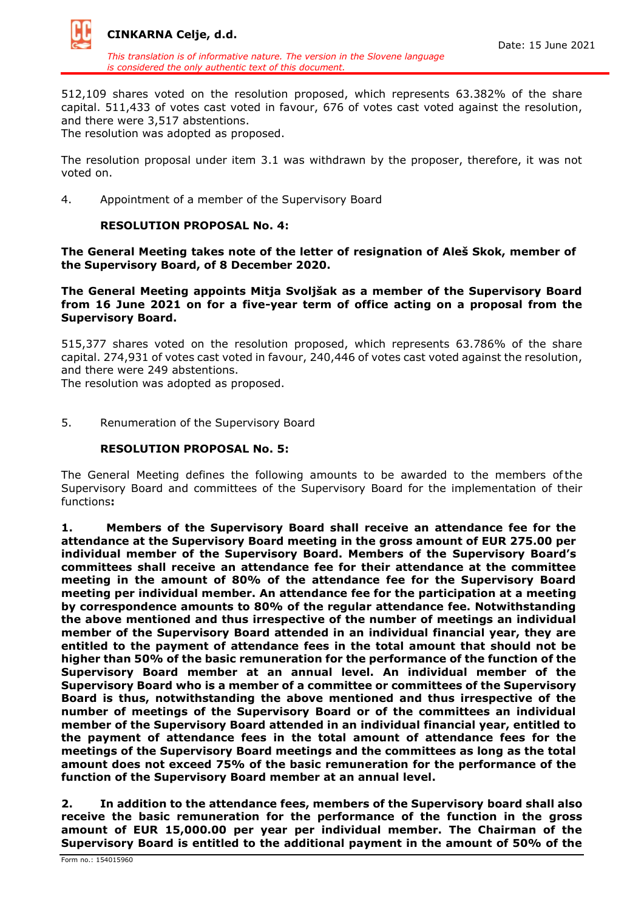

*This translation is of informative nature. The version in the Slovene language is considered the only authentic text of this document.*

512,109 shares voted on the resolution proposed, which represents 63.382% of the share capital. 511,433 of votes cast voted in favour, 676 of votes cast voted against the resolution, and there were 3,517 abstentions.

The resolution was adopted as proposed.

The resolution proposal under item 3.1 was withdrawn by the proposer, therefore, it was not voted on.

4. Appointment of a member of the Supervisory Board

# **RESOLUTION PROPOSAL No. 4:**

**The General Meeting takes note of the letter of resignation of Aleš Skok, member of the Supervisory Board, of 8 December 2020.**

**The General Meeting appoints Mitja Svoljšak as a member of the Supervisory Board from 16 June 2021 on for a five-year term of office acting on a proposal from the Supervisory Board.**

515,377 shares voted on the resolution proposed, which represents 63.786% of the share capital. 274,931 of votes cast voted in favour, 240,446 of votes cast voted against the resolution, and there were 249 abstentions.

The resolution was adopted as proposed.

5. Renumeration of the Supervisory Board

## **RESOLUTION PROPOSAL No. 5:**

The General Meeting defines the following amounts to be awarded to the members ofthe Supervisory Board and committees of the Supervisory Board for the implementation of their functions**:**

**1. Members of the Supervisory Board shall receive an attendance fee for the attendance at the Supervisory Board meeting in the gross amount of EUR 275.00 per individual member of the Supervisory Board. Members of the Supervisory Board's committees shall receive an attendance fee for their attendance at the committee meeting in the amount of 80% of the attendance fee for the Supervisory Board meeting per individual member. An attendance fee for the participation at a meeting by correspondence amounts to 80% of the regular attendance fee. Notwithstanding the above mentioned and thus irrespective of the number of meetings an individual member of the Supervisory Board attended in an individual financial year, they are entitled to the payment of attendance fees in the total amount that should not be higher than 50% of the basic remuneration for the performance of the function of the Supervisory Board member at an annual level. An individual member of the Supervisory Board who is a member of a committee or committees of the Supervisory Board is thus, notwithstanding the above mentioned and thus irrespective of the number of meetings of the Supervisory Board or of the committees an individual member of the Supervisory Board attended in an individual financial year, entitled to the payment of attendance fees in the total amount of attendance fees for the meetings of the Supervisory Board meetings and the committees as long as the total amount does not exceed 75% of the basic remuneration for the performance of the function of the Supervisory Board member at an annual level.**

**2. In addition to the attendance fees, members of the Supervisory board shall also receive the basic remuneration for the performance of the function in the gross amount of EUR 15,000.00 per year per individual member. The Chairman of the Supervisory Board is entitled to the additional payment in the amount of 50% of the**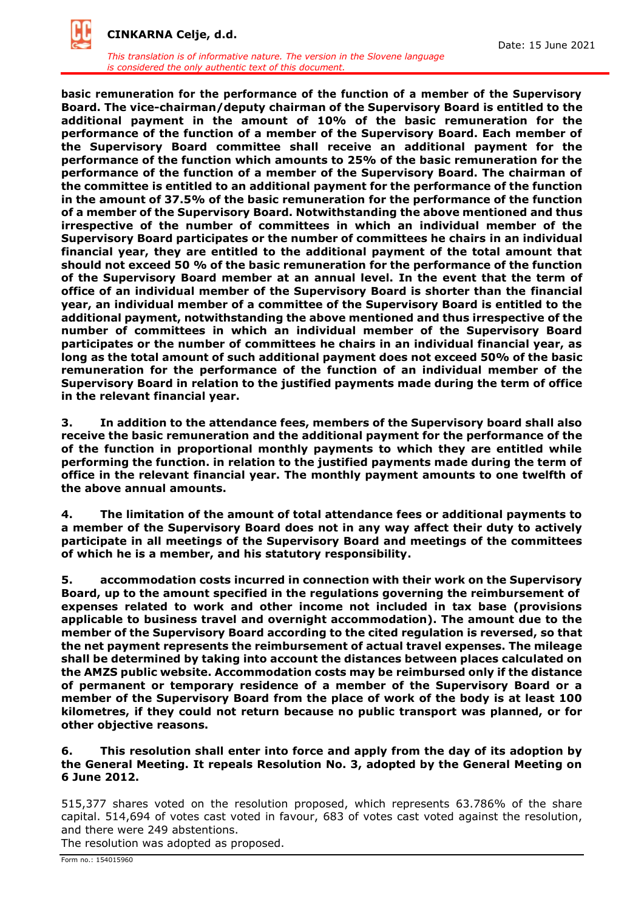

*This translation is of informative nature. The version in the Slovene language is considered the only authentic text of this document.*

**basic remuneration for the performance of the function of a member of the Supervisory Board. The vice-chairman/deputy chairman of the Supervisory Board is entitled to the additional payment in the amount of 10% of the basic remuneration for the performance of the function of a member of the Supervisory Board. Each member of the Supervisory Board committee shall receive an additional payment for the performance of the function which amounts to 25% of the basic remuneration for the performance of the function of a member of the Supervisory Board. The chairman of the committee is entitled to an additional payment for the performance of the function in the amount of 37.5% of the basic remuneration for the performance of the function of a member of the Supervisory Board. Notwithstanding the above mentioned and thus irrespective of the number of committees in which an individual member of the Supervisory Board participates or the number of committees he chairs in an individual financial year, they are entitled to the additional payment of the total amount that should not exceed 50 % of the basic remuneration for the performance of the function of the Supervisory Board member at an annual level. In the event that the term of office of an individual member of the Supervisory Board is shorter than the financial year, an individual member of a committee of the Supervisory Board is entitled to the additional payment, notwithstanding the above mentioned and thus irrespective of the number of committees in which an individual member of the Supervisory Board participates or the number of committees he chairs in an individual financial year, as long as the total amount of such additional payment does not exceed 50% of the basic remuneration for the performance of the function of an individual member of the Supervisory Board in relation to the justified payments made during the term of office in the relevant financial year.** 

**3. In addition to the attendance fees, members of the Supervisory board shall also receive the basic remuneration and the additional payment for the performance of the of the function in proportional monthly payments to which they are entitled while performing the function. in relation to the justified payments made during the term of office in the relevant financial year. The monthly payment amounts to one twelfth of the above annual amounts.**

**4. The limitation of the amount of total attendance fees or additional payments to a member of the Supervisory Board does not in any way affect their duty to actively participate in all meetings of the Supervisory Board and meetings of the committees of which he is a member, and his statutory responsibility.**

**5. accommodation costs incurred in connection with their work on the Supervisory Board, up to the amount specified in the regulations governing the reimbursement of expenses related to work and other income not included in tax base (provisions applicable to business travel and overnight accommodation). The amount due to the member of the Supervisory Board according to the cited regulation is reversed, so that the net payment represents the reimbursement of actual travel expenses. The mileage shall be determined by taking into account the distances between places calculated on the AMZS public website. Accommodation costs may be reimbursed only if the distance of permanent or temporary residence of a member of the Supervisory Board or a member of the Supervisory Board from the place of work of the body is at least 100 kilometres, if they could not return because no public transport was planned, or for other objective reasons.** 

**6. This resolution shall enter into force and apply from the day of its adoption by the General Meeting. It repeals Resolution No. 3, adopted by the General Meeting on 6 June 2012.**

515,377 shares voted on the resolution proposed, which represents 63.786% of the share capital. 514,694 of votes cast voted in favour, 683 of votes cast voted against the resolution, and there were 249 abstentions.

The resolution was adopted as proposed.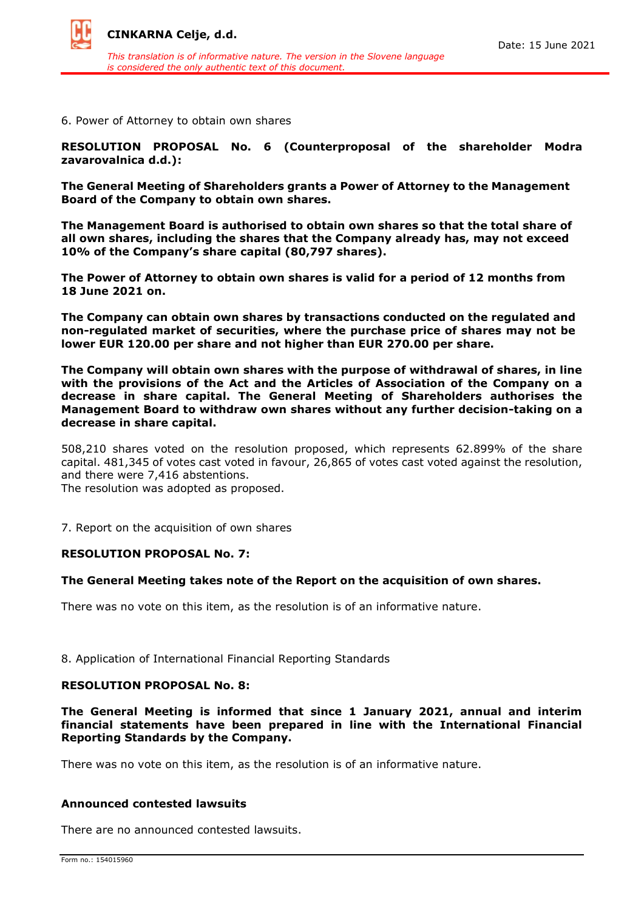

6. Power of Attorney to obtain own shares

**RESOLUTION PROPOSAL No. 6 (Counterproposal of the shareholder Modra zavarovalnica d.d.):**

**The General Meeting of Shareholders grants a Power of Attorney to the Management Board of the Company to obtain own shares.**

**The Management Board is authorised to obtain own shares so that the total share of all own shares, including the shares that the Company already has, may not exceed 10% of the Company's share capital (80,797 shares).**

**The Power of Attorney to obtain own shares is valid for a period of 12 months from 18 June 2021 on.**

**The Company can obtain own shares by transactions conducted on the regulated and non-regulated market of securities, where the purchase price of shares may not be lower EUR 120.00 per share and not higher than EUR 270.00 per share.**

**The Company will obtain own shares with the purpose of withdrawal of shares, in line with the provisions of the Act and the Articles of Association of the Company on a decrease in share capital. The General Meeting of Shareholders authorises the Management Board to withdraw own shares without any further decision-taking on a decrease in share capital.**

508,210 shares voted on the resolution proposed, which represents 62.899% of the share capital. 481,345 of votes cast voted in favour, 26,865 of votes cast voted against the resolution, and there were 7,416 abstentions.

The resolution was adopted as proposed.

7. Report on the acquisition of own shares

### **RESOLUTION PROPOSAL No. 7:**

### **The General Meeting takes note of the Report on the acquisition of own shares.**

There was no vote on this item, as the resolution is of an informative nature.

8. Application of International Financial Reporting Standards

### **RESOLUTION PROPOSAL No. 8:**

**The General Meeting is informed that since 1 January 2021, annual and interim financial statements have been prepared in line with the International Financial Reporting Standards by the Company.**

There was no vote on this item, as the resolution is of an informative nature.

### **Announced contested lawsuits**

There are no announced contested lawsuits.